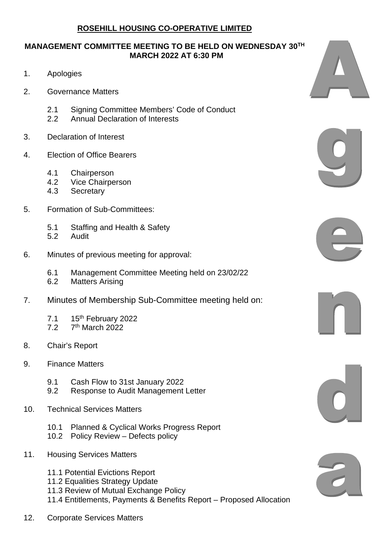## **MANAGEMENT COMMITTEE MEETING TO BE HELD ON WEDNESDAY 30TH MARCH 2022 AT 6:30 PM**

- 1. Apologies
- 2. Governance Matters
	- 2.1 Signing Committee Members' Code of Conduct
	- 2.2 Annual Declaration of Interests
- 3. Declaration of Interest
- 4. Election of Office Bearers
	- 4.1 Chairperson
	- 4.2 Vice Chairperson
	- 4.3 Secretary
- 5. Formation of Sub-Committees:
	- 5.1 Staffing and Health & Safety
	- 5.2 Audit
- 6. Minutes of previous meeting for approval:
	- 6.1 Management Committee Meeting held on 23/02/22
	- 6.2 Matters Arising
- 7. Minutes of Membership Sub-Committee meeting held on:
	- 7.1 15<sup>th</sup> February 2022<br>7.2 7<sup>th</sup> March 2022
	- $7<sup>th</sup>$  March 2022
- 8. Chair's Report
- 9. Finance Matters
	- 9.1 Cash Flow to 31st January 2022
	- 9.2 Response to Audit Management Letter
- 10. Technical Services Matters
	- 10.1 Planned & Cyclical Works Progress Report
	- 10.2 Policy Review Defects policy
- 11. Housing Services Matters
	- 11.1 Potential Evictions Report
	- 11.2 Equalities Strategy Update
	- 11.3 Review of Mutual Exchange Policy
	- 11.4 Entitlements, Payments & Benefits Report Proposed Allocation
- 12. Corporate Services Matters